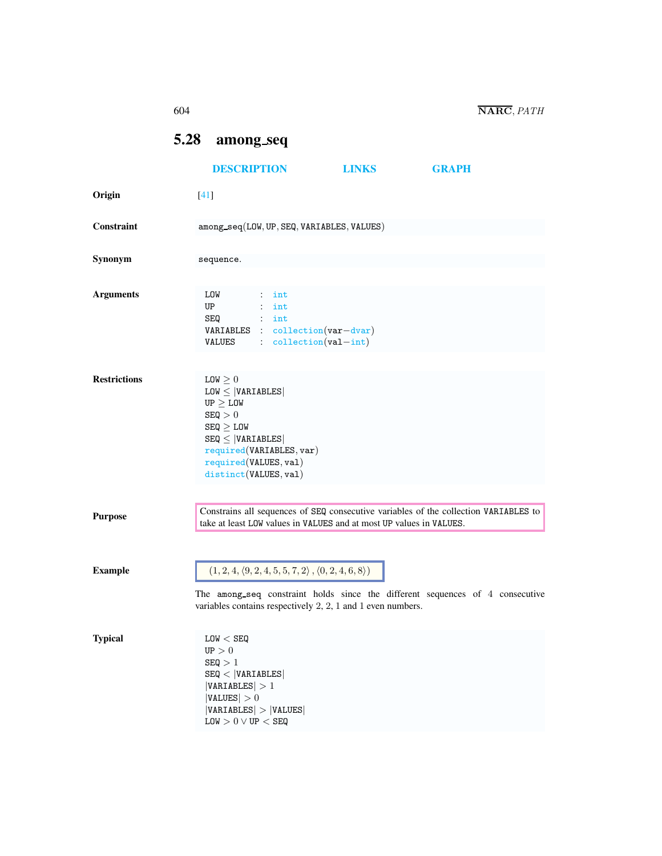<span id="page-0-1"></span><span id="page-0-0"></span>

|                     | 604                                                                                                                                                                                                                                       |                                                                                                                                                                                     |                                                                                                        |              |                                                                                      | NARC, PATH |
|---------------------|-------------------------------------------------------------------------------------------------------------------------------------------------------------------------------------------------------------------------------------------|-------------------------------------------------------------------------------------------------------------------------------------------------------------------------------------|--------------------------------------------------------------------------------------------------------|--------------|--------------------------------------------------------------------------------------|------------|
|                     | 5.28                                                                                                                                                                                                                                      | among_seq                                                                                                                                                                           |                                                                                                        |              |                                                                                      |            |
|                     |                                                                                                                                                                                                                                           | <b>DESCRIPTION</b>                                                                                                                                                                  |                                                                                                        | <b>LINKS</b> | <b>GRAPH</b>                                                                         |            |
| Origin              | $[41]$                                                                                                                                                                                                                                    |                                                                                                                                                                                     |                                                                                                        |              |                                                                                      |            |
| Constraint          |                                                                                                                                                                                                                                           |                                                                                                                                                                                     | among_seq(LOW, UP, SEQ, VARIABLES, VALUES)                                                             |              |                                                                                      |            |
| Synonym             |                                                                                                                                                                                                                                           | sequence.                                                                                                                                                                           |                                                                                                        |              |                                                                                      |            |
| <b>Arguments</b>    | LOW<br>UP<br>SEQ                                                                                                                                                                                                                          | VALUES                                                                                                                                                                              | $:$ int<br>$:$ int<br>$:$ int<br>VARIABLES : collection (var-dvar)<br>$:$ $\text{collection}(val-int)$ |              |                                                                                      |            |
| <b>Restrictions</b> | $LOW \geq 0$<br>$LOW \leq  VARIABLES $<br>$UP \geq LOW$<br>SEQ > 0<br>$SEQ \geq LOW$<br>$SEQ \leq  VARIABLES $<br>required(VARIABLES, var)<br>required(VALUES, val)<br>distinct(VALUES, val)                                              |                                                                                                                                                                                     |                                                                                                        |              |                                                                                      |            |
| <b>Purpose</b>      |                                                                                                                                                                                                                                           |                                                                                                                                                                                     | take at least LOW values in VALUES and at most UP values in VALUES.                                    |              | Constrains all sequences of SEQ consecutive variables of the collection VARIABLES to |            |
| <b>Example</b>      | $(1, 2, 4, \langle 9, 2, 4, 5, 5, 7, 2 \rangle, \langle 0, 2, 4, 6, 8 \rangle)$<br>The among_seq constraint holds since the different sequences of 4 consecutive<br>variables contains respectively $2$ , $2$ , $1$ and $1$ even numbers. |                                                                                                                                                                                     |                                                                                                        |              |                                                                                      |            |
| <b>Typical</b>      |                                                                                                                                                                                                                                           | LOW < SEQ<br>$\mathtt{UP}>0$<br>SEQ > 1<br>SEQ <  VARIABLES <br> VARIABLES  > 1<br> VALUES  > 0<br>$ VARIABLES $ > $ VALUES $<br>$\texttt{LOW} > 0 \lor \texttt{UP} < \texttt{SEQ}$ |                                                                                                        |              |                                                                                      |            |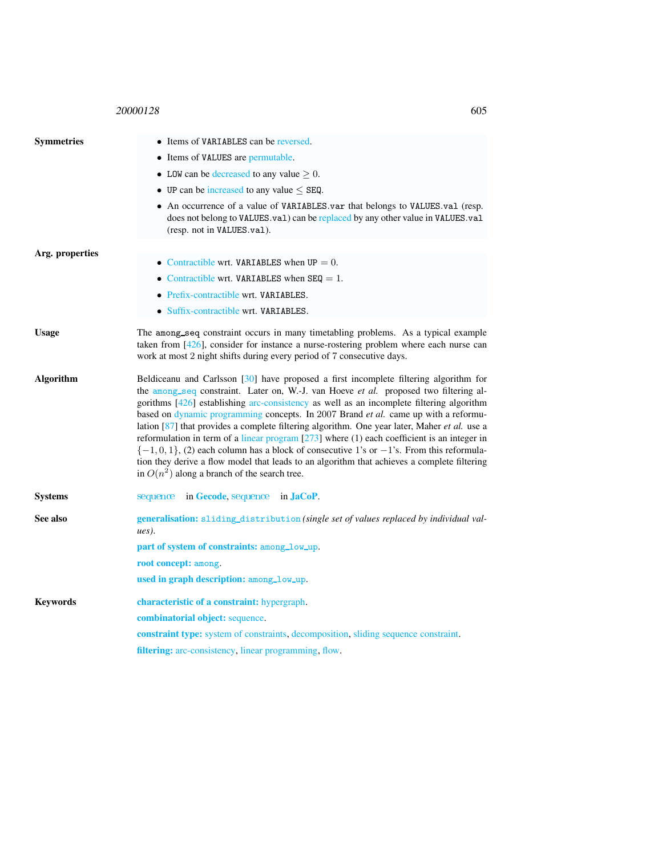## <sup>20000128</sup> 605

<span id="page-1-0"></span>

| <b>Symmetries</b> | • Items of VARIABLES can be reversed.                                                                                                                                                                                                                                                                                                                                                                                                                                                                                                                                                                                                                                                                                                                                                                                   |  |  |  |  |
|-------------------|-------------------------------------------------------------------------------------------------------------------------------------------------------------------------------------------------------------------------------------------------------------------------------------------------------------------------------------------------------------------------------------------------------------------------------------------------------------------------------------------------------------------------------------------------------------------------------------------------------------------------------------------------------------------------------------------------------------------------------------------------------------------------------------------------------------------------|--|--|--|--|
|                   | • Items of VALUES are permutable.                                                                                                                                                                                                                                                                                                                                                                                                                                                                                                                                                                                                                                                                                                                                                                                       |  |  |  |  |
|                   | • LOW can be decreased to any value $\geq 0$ .                                                                                                                                                                                                                                                                                                                                                                                                                                                                                                                                                                                                                                                                                                                                                                          |  |  |  |  |
|                   | • UP can be increased to any value $\leq$ SEQ.                                                                                                                                                                                                                                                                                                                                                                                                                                                                                                                                                                                                                                                                                                                                                                          |  |  |  |  |
|                   | • An occurrence of a value of VARIABLES.var that belongs to VALUES.val (resp.<br>does not belong to VALUES.val) can be replaced by any other value in VALUES.val<br>(resp. not in VALUES.val).                                                                                                                                                                                                                                                                                                                                                                                                                                                                                                                                                                                                                          |  |  |  |  |
| Arg. properties   |                                                                                                                                                                                                                                                                                                                                                                                                                                                                                                                                                                                                                                                                                                                                                                                                                         |  |  |  |  |
|                   | • Contractible wrt. VARIABLES when $UP = 0$ .                                                                                                                                                                                                                                                                                                                                                                                                                                                                                                                                                                                                                                                                                                                                                                           |  |  |  |  |
|                   | • Contractible wrt. VARIABLES when $SEQ = 1$ .                                                                                                                                                                                                                                                                                                                                                                                                                                                                                                                                                                                                                                                                                                                                                                          |  |  |  |  |
|                   | • Prefix-contractible wrt. VARIABLES.                                                                                                                                                                                                                                                                                                                                                                                                                                                                                                                                                                                                                                                                                                                                                                                   |  |  |  |  |
|                   | • Suffix-contractible wrt. VARIABLES.                                                                                                                                                                                                                                                                                                                                                                                                                                                                                                                                                                                                                                                                                                                                                                                   |  |  |  |  |
| <b>Usage</b>      | The among_seq constraint occurs in many timetabling problems. As a typical example<br>taken from $[426]$ , consider for instance a nurse-rostering problem where each nurse can<br>work at most 2 night shifts during every period of 7 consecutive days.                                                                                                                                                                                                                                                                                                                                                                                                                                                                                                                                                               |  |  |  |  |
| <b>Algorithm</b>  | Beldiceanu and Carlsson [30] have proposed a first incomplete filtering algorithm for<br>the among_seq constraint. Later on, W.-J. van Hoeve et al. proposed two filtering al-<br>gorithms [426] establishing arc-consistency as well as an incomplete filtering algorithm<br>based on dynamic programming concepts. In 2007 Brand et al. came up with a reformu-<br>lation [87] that provides a complete filtering algorithm. One year later, Maher et al. use a<br>reformulation in term of a linear program $[273]$ where $(1)$ each coefficient is an integer in<br>$\{-1,0,1\}$ , (2) each column has a block of consecutive 1's or $-1$ 's. From this reformula-<br>tion they derive a flow model that leads to an algorithm that achieves a complete filtering<br>in $O(n^2)$ along a branch of the search tree. |  |  |  |  |
| <b>Systems</b>    | sequence in Gecode, sequence in JaCoP.                                                                                                                                                                                                                                                                                                                                                                                                                                                                                                                                                                                                                                                                                                                                                                                  |  |  |  |  |
| See also          | generalisation: sliding_distribution (single set of values replaced by individual val-<br>$ues$ ).                                                                                                                                                                                                                                                                                                                                                                                                                                                                                                                                                                                                                                                                                                                      |  |  |  |  |
|                   | part of system of constraints: among_low_up.                                                                                                                                                                                                                                                                                                                                                                                                                                                                                                                                                                                                                                                                                                                                                                            |  |  |  |  |
|                   | root concept: among.                                                                                                                                                                                                                                                                                                                                                                                                                                                                                                                                                                                                                                                                                                                                                                                                    |  |  |  |  |
|                   | used in graph description: among_low_up.                                                                                                                                                                                                                                                                                                                                                                                                                                                                                                                                                                                                                                                                                                                                                                                |  |  |  |  |
| <b>Keywords</b>   | characteristic of a constraint: hypergraph.                                                                                                                                                                                                                                                                                                                                                                                                                                                                                                                                                                                                                                                                                                                                                                             |  |  |  |  |
|                   | combinatorial object: sequence.                                                                                                                                                                                                                                                                                                                                                                                                                                                                                                                                                                                                                                                                                                                                                                                         |  |  |  |  |
|                   | constraint type: system of constraints, decomposition, sliding sequence constraint.                                                                                                                                                                                                                                                                                                                                                                                                                                                                                                                                                                                                                                                                                                                                     |  |  |  |  |
|                   | filtering: arc-consistency, linear programming, flow.                                                                                                                                                                                                                                                                                                                                                                                                                                                                                                                                                                                                                                                                                                                                                                   |  |  |  |  |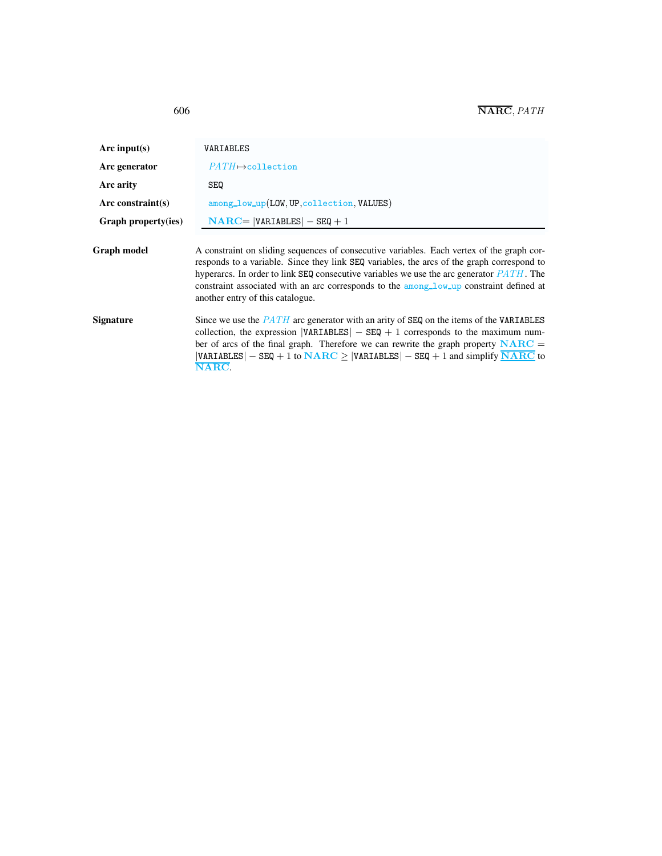<span id="page-2-0"></span>

| Arc input(s)        | VARIABLES                                                                                                                                                                                                                                                                                                                                                                                                             |  |  |  |  |
|---------------------|-----------------------------------------------------------------------------------------------------------------------------------------------------------------------------------------------------------------------------------------------------------------------------------------------------------------------------------------------------------------------------------------------------------------------|--|--|--|--|
| Arc generator       | $PATH \rightarrow collection$                                                                                                                                                                                                                                                                                                                                                                                         |  |  |  |  |
| Arc arity           | <b>SEQ</b>                                                                                                                                                                                                                                                                                                                                                                                                            |  |  |  |  |
| $Arc$ constraint(s) | among_low_up(LOW, UP, collection, VALUES)                                                                                                                                                                                                                                                                                                                                                                             |  |  |  |  |
| Graph property(ies) | $NARC =  VARIABLES  - SEQ + 1$                                                                                                                                                                                                                                                                                                                                                                                        |  |  |  |  |
| Graph model         | A constraint on sliding sequences of consecutive variables. Each vertex of the graph cor-<br>responds to a variable. Since they link SEQ variables, the arcs of the graph correspond to<br>hyperarcs. In order to link SEQ consecutive variables we use the arc generator $PATH$ . The<br>constraint associated with an arc corresponds to the among low up constraint defined at<br>another entry of this catalogue. |  |  |  |  |
| Signature           | Since we use the $PATH$ arc generator with an arity of SEQ on the items of the VARIABLES<br>collection, the expression $ VARIABLES  - SEQ + 1$ corresponds to the maximum num-<br>ber of arcs of the final graph. Therefore we can rewrite the graph property $NARC =$<br>$ VARTABLES  - SEQ + 1$ to $NARC \ge  VARTABLES  - SEQ + 1$ and simplify $\overline{NARC}$ to<br>$\bf NARC$                                 |  |  |  |  |